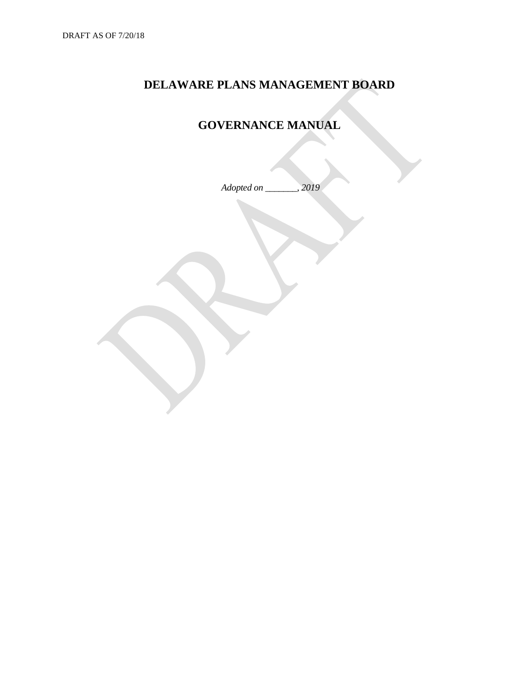### **DELAWARE PLANS MANAGEMENT BOARD**

# **GOVERNANCE MANUAL**

*Adopted on \_\_\_\_\_\_\_, 2019*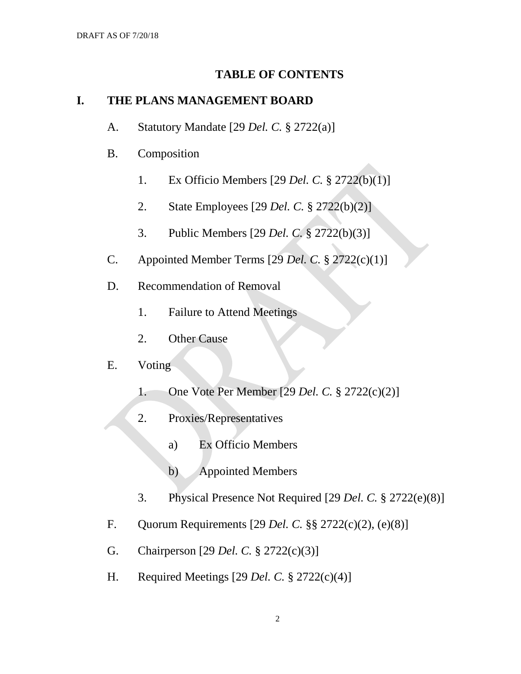#### **TABLE OF CONTENTS**

#### **I. THE PLANS MANAGEMENT BOARD**

- A. Statutory Mandate [29 *Del. C.* § 2722(a)]
- B. Composition
	- 1. Ex Officio Members [29 *Del. C.* § 2722(b)(1)]
	- 2. State Employees [29 *Del. C.* § 2722(b)(2)]
	- 3. Public Members [29 *Del. C.* § 2722(b)(3)]
- C. Appointed Member Terms [29 *Del. C.* § 2722(c)(1)]
- D. Recommendation of Removal
	- 1. Failure to Attend Meetings
	- 2. Other Cause

### E. Voting

- 1. One Vote Per Member [29 *Del. C.* § 2722(c)(2)]
- 2. Proxies/Representatives
	- a) Ex Officio Members
	- b) Appointed Members
- 3. Physical Presence Not Required [29 *Del. C.* § 2722(e)(8)]
- F. Quorum Requirements [29 *Del. C.* §§ 2722(c)(2), (e)(8)]
- G. Chairperson [29 *Del. C.* § 2722(c)(3)]
- H. Required Meetings [29 *Del. C.* § 2722(c)(4)]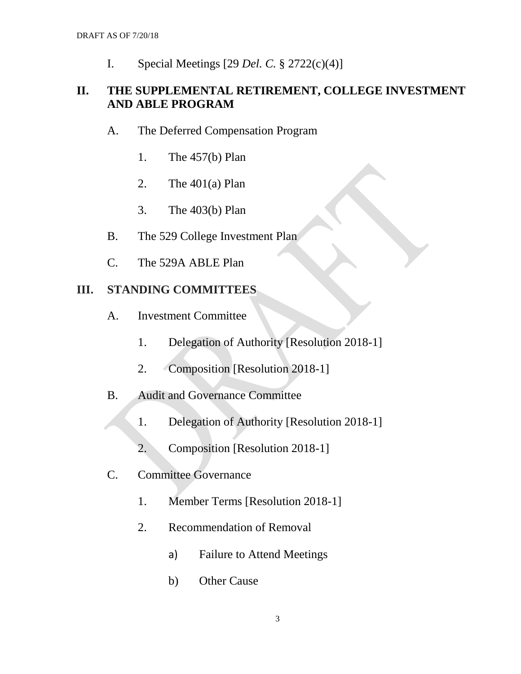I. Special Meetings [29 *Del. C.* § 2722(c)(4)]

### **II. THE SUPPLEMENTAL RETIREMENT, COLLEGE INVESTMENT AND ABLE PROGRAM**

- A. The Deferred Compensation Program
	- 1. The 457(b) Plan
	- 2. The  $401(a)$  Plan
	- 3. The 403(b) Plan
- B. The 529 College Investment Plan
- C. The 529A ABLE Plan

### **III. STANDING COMMITTEES**

- A. Investment Committee
	- 1. Delegation of Authority [Resolution 2018-1]
	- 2. Composition [Resolution 2018-1]
- B. Audit and Governance Committee
	- 1. Delegation of Authority [Resolution 2018-1]
		- 2. Composition [Resolution 2018-1]
- C. Committee Governance
	- 1. Member Terms [Resolution 2018-1]
	- 2. Recommendation of Removal
		- a) Failure to Attend Meetings
		- b) Other Cause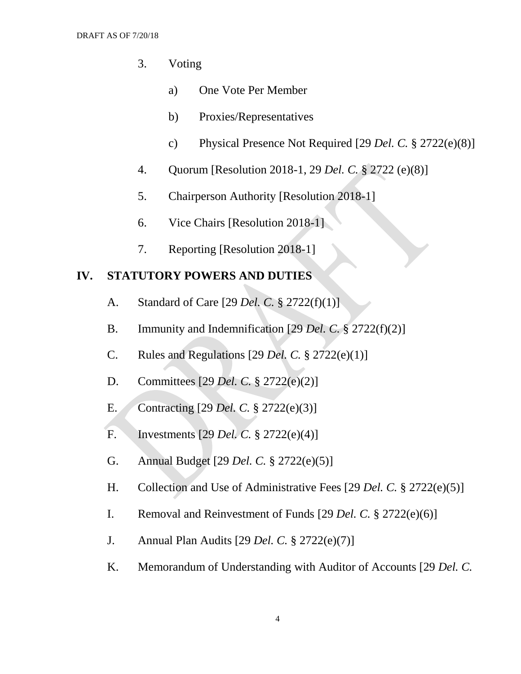- 3. Voting
	- a) One Vote Per Member
	- b) Proxies/Representatives
	- c) Physical Presence Not Required [29 *Del. C.* § 2722(e)(8)]
- 4. Quorum [Resolution 2018-1, 29 *Del. C.* § 2722 (e)(8)]
- 5. Chairperson Authority [Resolution 2018-1]
- 6. Vice Chairs [Resolution 2018-1]
- 7. Reporting [Resolution 2018-1]

#### **IV. STATUTORY POWERS AND DUTIES**

- A. Standard of Care [29 *Del. C.* § 2722(f)(1)]
- B. Immunity and Indemnification [29 *Del. C.* § 2722(f)(2)]
- C. Rules and Regulations [29 *Del. C.* § 2722(e)(1)]
- D. Committees [29 *Del. C.* § 2722(e)(2)]
- E. Contracting [29 *Del. C.* § 2722(e)(3)]
- F. Investments [29 *Del. C.* § 2722(e)(4)]
- G. Annual Budget [29 *Del. C.* § 2722(e)(5)]
- H. Collection and Use of Administrative Fees [29 *Del. C.* § 2722(e)(5)]
- I. Removal and Reinvestment of Funds [29 *Del. C.* § 2722(e)(6)]
- J. Annual Plan Audits [29 *Del. C.* § 2722(e)(7)]
- K. Memorandum of Understanding with Auditor of Accounts [29 *Del. C.*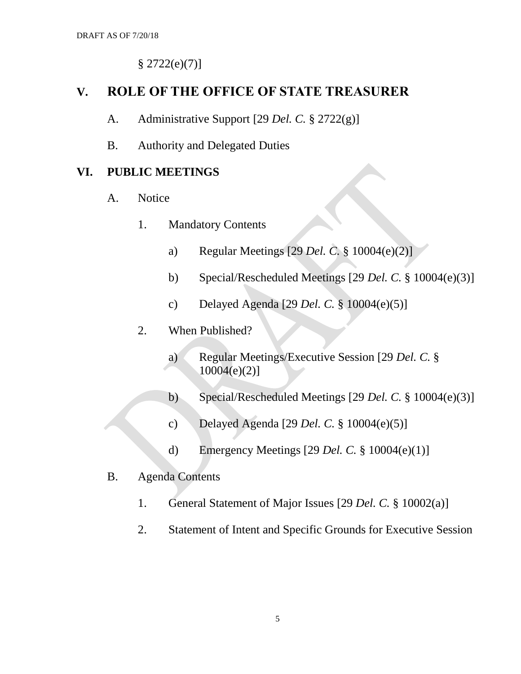$§ 2722(e)(7)]$ 

## **V. ROLE OF THE OFFICE OF STATE TREASURER**

- A. Administrative Support [29 *Del. C.* § 2722(g)]
- B. Authority and Delegated Duties

#### **VI. PUBLIC MEETINGS**

- A. Notice
	- 1. Mandatory Contents
		- a) Regular Meetings [29 *Del. C.* § 10004(e)(2)]
		- b) Special/Rescheduled Meetings [29 *Del. C.* § 10004(e)(3)]
		- c) Delayed Agenda [29 *Del. C.* § 10004(e)(5)]
	- 2. When Published?
		- a) Regular Meetings/Executive Session [29 *Del. C.* §  $10004(e)(2)$ ]
		- b) Special/Rescheduled Meetings [29 *Del. C.* § 10004(e)(3)]
		- c) Delayed Agenda [29 *Del. C.* § 10004(e)(5)]
		- d) Emergency Meetings [29 *Del. C.* § 10004(e)(1)]
- B. Agenda Contents
	- 1. General Statement of Major Issues [29 *Del. C.* § 10002(a)]
	- 2. Statement of Intent and Specific Grounds for Executive Session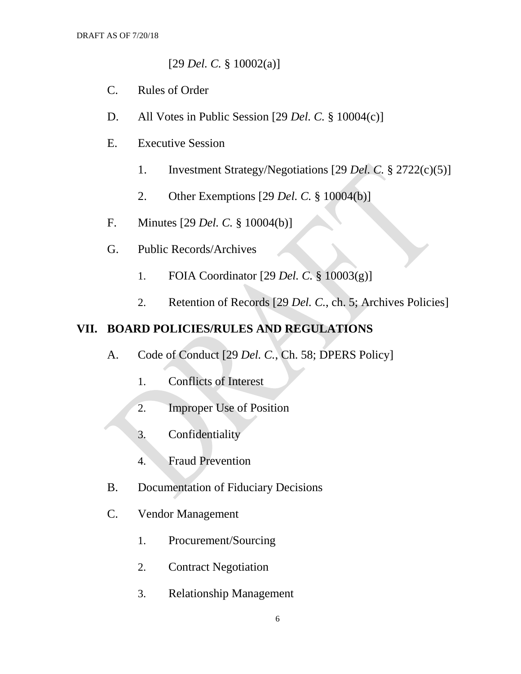[29 *Del. C.* § 10002(a)]

- C. Rules of Order
- D. All Votes in Public Session [29 *Del. C.* § 10004(c)]
- E. Executive Session
	- 1. Investment Strategy/Negotiations [29 *Del. C.* § 2722(c)(5)]
	- 2. Other Exemptions [29 *Del. C.* § 10004(b)]
- F. Minutes [29 *Del. C.* § 10004(b)]
- G. Public Records/Archives
	- 1. FOIA Coordinator [29 *Del. C.* § 10003(g)]
	- 2. Retention of Records [29 *Del. C.*, ch. 5; Archives Policies]

### **VII. BOARD POLICIES/RULES AND REGULATIONS**

- A. Code of Conduct [29 *Del. C.*, Ch. 58; DPERS Policy]
	- 1. Conflicts of Interest
	- 2. Improper Use of Position
	- 3. Confidentiality
	- 4. Fraud Prevention
- B. Documentation of Fiduciary Decisions
- C. Vendor Management
	- 1. Procurement/Sourcing
	- 2. Contract Negotiation
	- 3. Relationship Management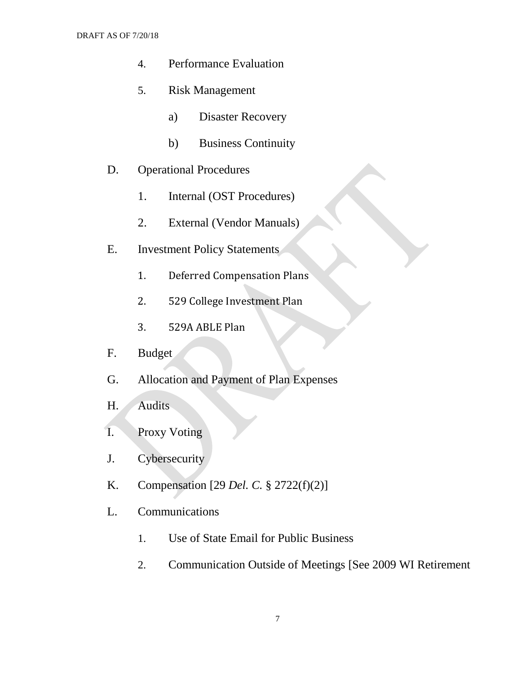- 4. Performance Evaluation
- 5. Risk Management
	- a) Disaster Recovery
	- b) Business Continuity
- D. Operational Procedures
	- 1. Internal (OST Procedures)
	- 2. External (Vendor Manuals)
- E. Investment Policy Statements
	- 1. Deferred Compensation Plans
	- 2. 529 College Investment Plan
	- 3. 529A ABLE Plan
- F. Budget
- G. Allocation and Payment of Plan Expenses
- H. Audits
- I. Proxy Voting
- J. Cybersecurity
- K. Compensation [29 *Del. C.* § 2722(f)(2)]
- L. Communications
	- 1. Use of State Email for Public Business
	- 2. Communication Outside of Meetings [See 2009 WI Retirement